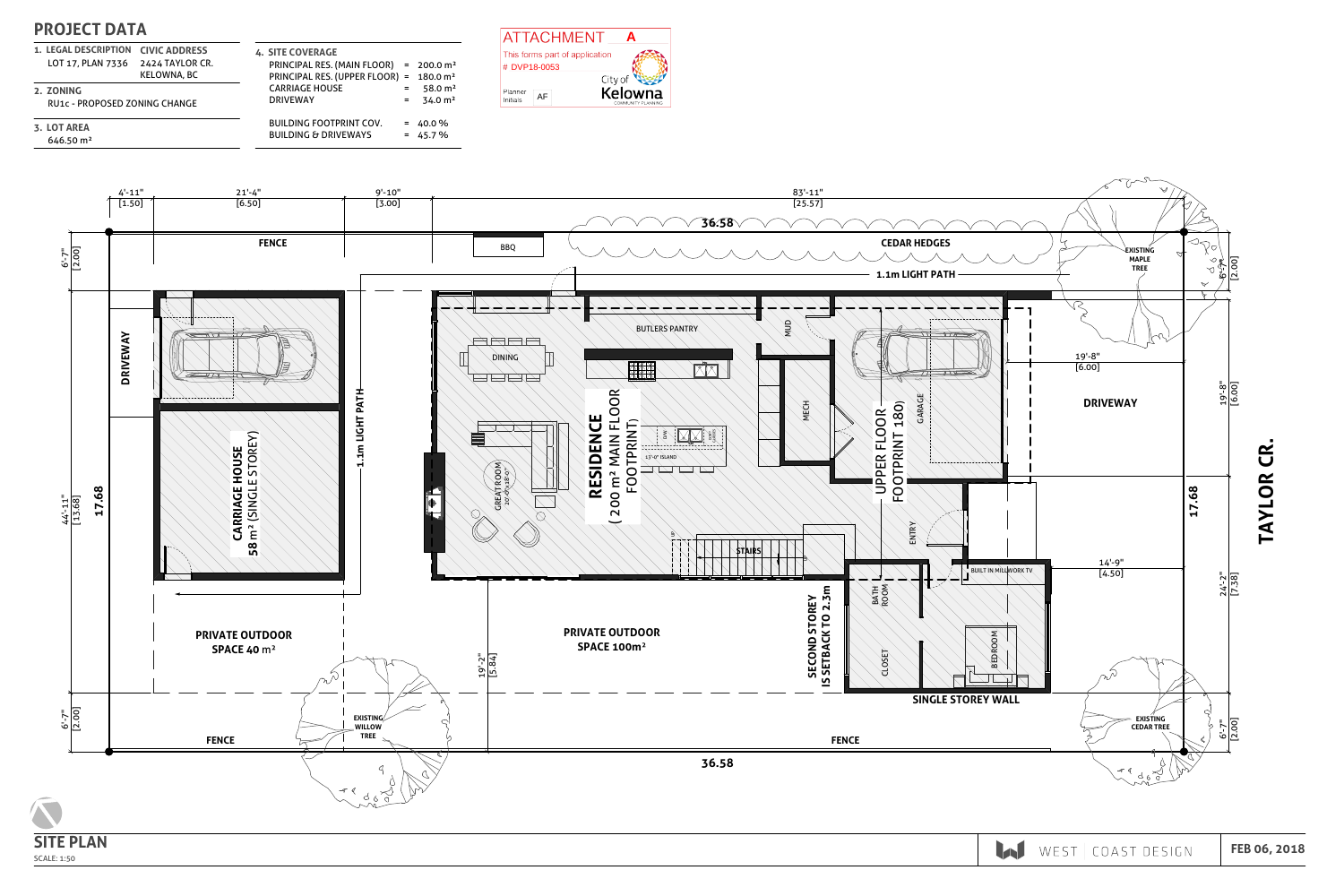# PROJECT DATA

LOT 17, PLAN 7336 2424 TAYLOR CR. 1. LEGAL DESCRIPTION CIVIC ADDRESS

4. SITE COVERAGE PRINCIPAL RES. (MAIN FLOOR) = 200.0 m² PRINCIPAL RES. (UPPER FLOOR) = 180.0 m² CARRIAGE HOUSE DRIVEWAY BUILDING FOOTPRINT COV. BUILDING & DRIVEWAYS  $= 58.0 \text{ m}^2$  $= 34.0 \text{ m}^2$  $= 40.0 \%$  $= 45.7 \%$ 

KELOWNA, BC

RU1c - PROPOSED ZONING CHANGE

2. ZONING

646.50 m² 3. LOT AREA



SCALE: 1:50

FEB 06, 2018

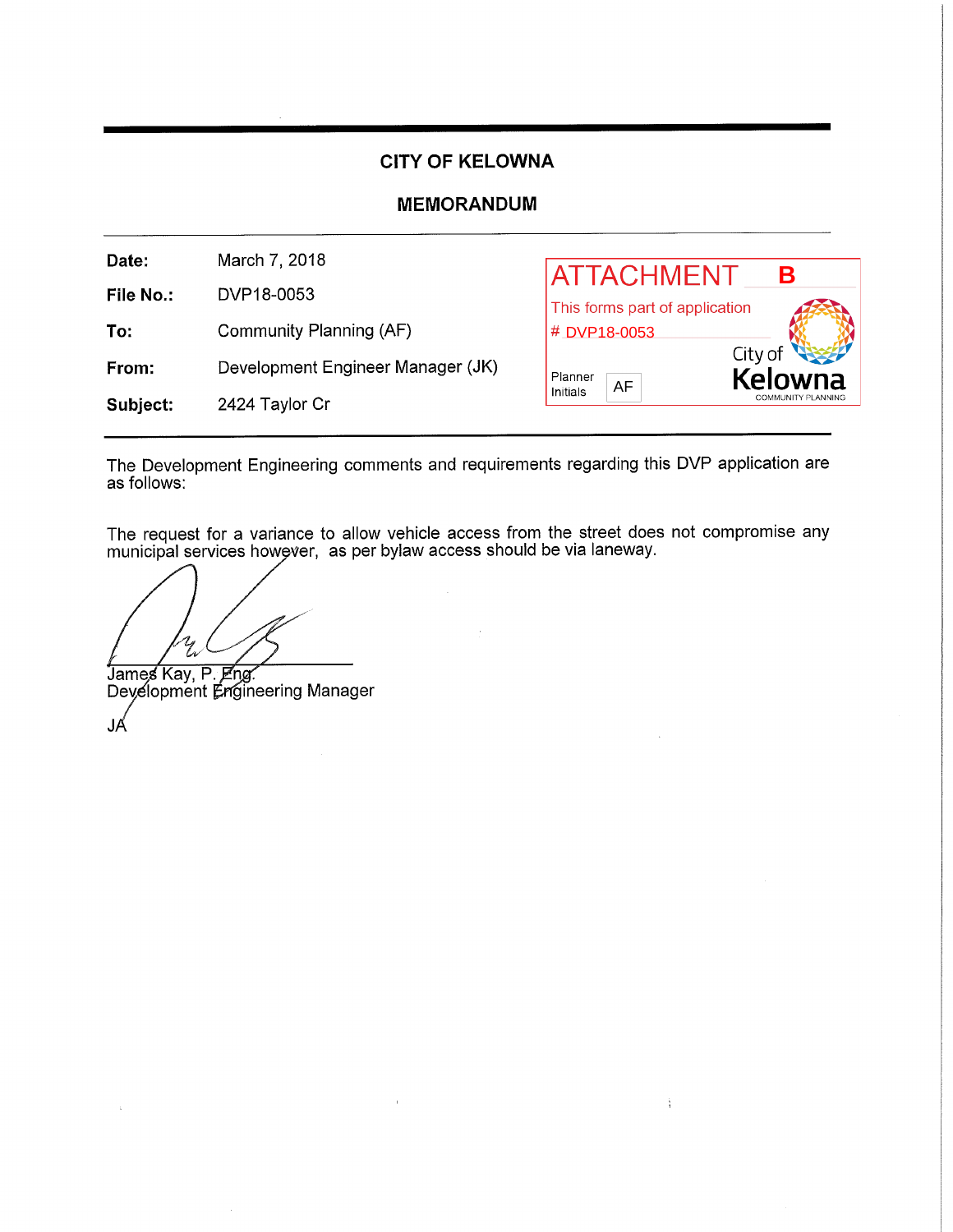## **CITY OF KELOWNA**

## **MEMORANDUM**

| Date:     | March 7, 2018                     | <b>ATTACHMENT</b>              |                           |
|-----------|-----------------------------------|--------------------------------|---------------------------|
| File No.: | DVP18-0053                        | This forms part of application |                           |
| To:       | Community Planning (AF)           | # DVP18-0053                   |                           |
| From:     | Development Engineer Manager (JK) | Planner<br>AF                  | City of<br>Kelowna        |
| Subject:  | 2424 Taylor Cr                    | Initials                       | <b>COMMUNITY PLANNING</b> |

The Development Engineering comments and requirements regarding this DVP application are as follows:

The request for a variance to allow vehicle access from the street does not compromise any municipal services however, as per bylaw access should be via laneway.

 $\frac{1}{3}$ 

James Kay, P. Eng.<br>Deyelopment Engineering Manager JÁ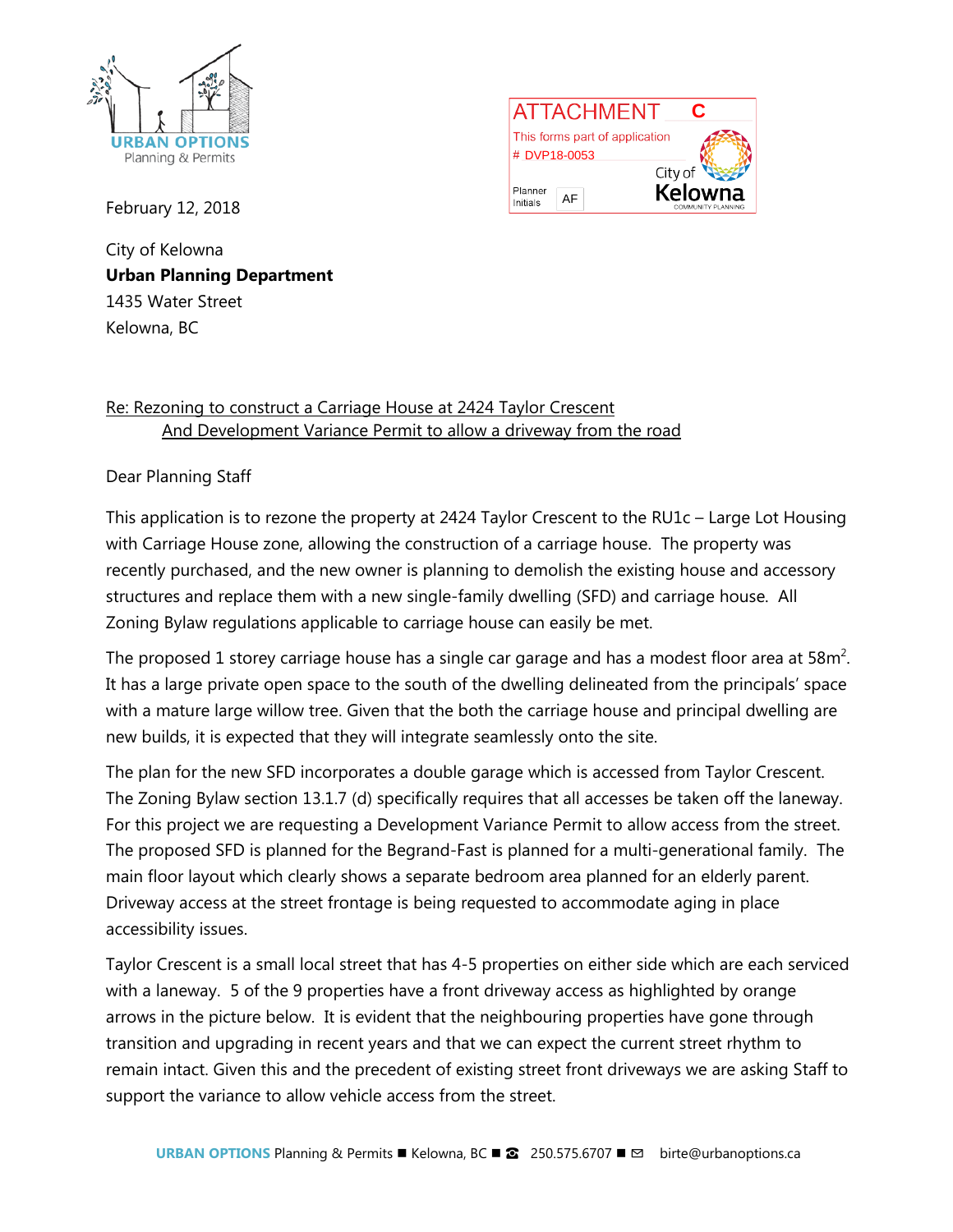



February 12, 2018

City of Kelowna **Urban Planning Department** 1435 Water Street Kelowna, BC

## Re: Rezoning to construct a Carriage House at 2424 Taylor Crescent And Development Variance Permit to allow a driveway from the road

## Dear Planning Staff

This application is to rezone the property at 2424 Taylor Crescent to the RU1c – Large Lot Housing with Carriage House zone, allowing the construction of a carriage house. The property was recently purchased, and the new owner is planning to demolish the existing house and accessory structures and replace them with a new single-family dwelling (SFD) and carriage house. All Zoning Bylaw regulations applicable to carriage house can easily be met.

The proposed 1 storey carriage house has a single car garage and has a modest floor area at 58 $m^2$ . It has a large private open space to the south of the dwelling delineated from the principals' space with a mature large willow tree. Given that the both the carriage house and principal dwelling are new builds, it is expected that they will integrate seamlessly onto the site.

The plan for the new SFD incorporates a double garage which is accessed from Taylor Crescent. The Zoning Bylaw section 13.1.7 (d) specifically requires that all accesses be taken off the laneway. For this project we are requesting a Development Variance Permit to allow access from the street. The proposed SFD is planned for the Begrand-Fast is planned for a multi-generational family. The main floor layout which clearly shows a separate bedroom area planned for an elderly parent. Driveway access at the street frontage is being requested to accommodate aging in place accessibility issues.

Taylor Crescent is a small local street that has 4-5 properties on either side which are each serviced with a laneway. 5 of the 9 properties have a front driveway access as highlighted by orange arrows in the picture below. It is evident that the neighbouring properties have gone through transition and upgrading in recent years and that we can expect the current street rhythm to remain intact. Given this and the precedent of existing street front driveways we are asking Staff to support the variance to allow vehicle access from the street.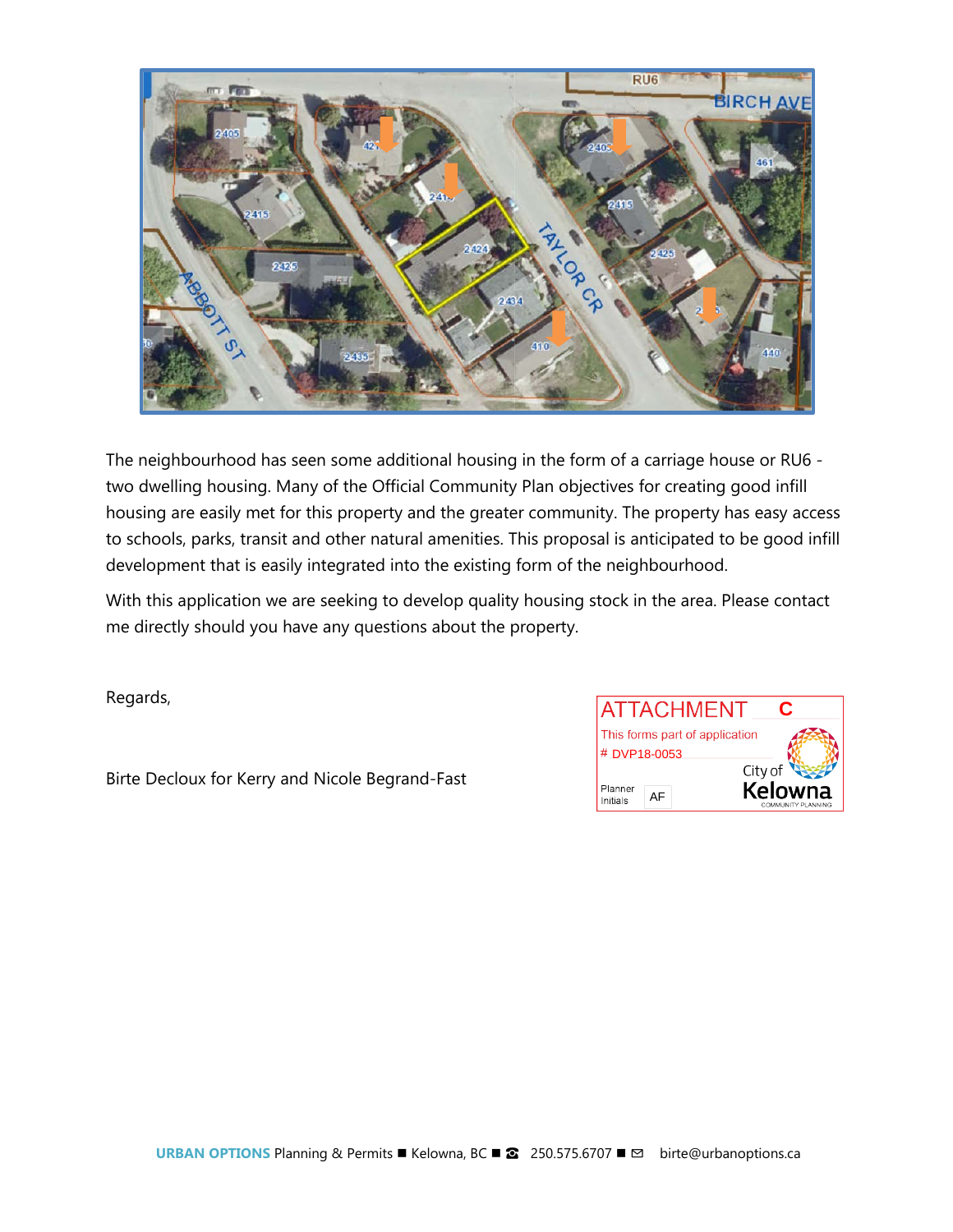

The neighbourhood has seen some additional housing in the form of a carriage house or RU6 two dwelling housing. Many of the Official Community Plan objectives for creating good infill housing are easily met for this property and the greater community. The property has easy access to schools, parks, transit and other natural amenities. This proposal is anticipated to be good infill development that is easily integrated into the existing form of the neighbourhood.

With this application we are seeking to develop quality housing stock in the area. Please contact me directly should you have any questions about the property.

Regards,

Birte Decloux for Kerry and Nicole Begrand-Fast

| <b>ATTACHMENT</b><br>C         |                                                 |  |  |
|--------------------------------|-------------------------------------------------|--|--|
| This forms part of application |                                                 |  |  |
| # DVP18-0053                   |                                                 |  |  |
| Planner<br>AΕ<br>Initials      | City of<br><b>Kelowna</b><br>COMMUNITY PLANNING |  |  |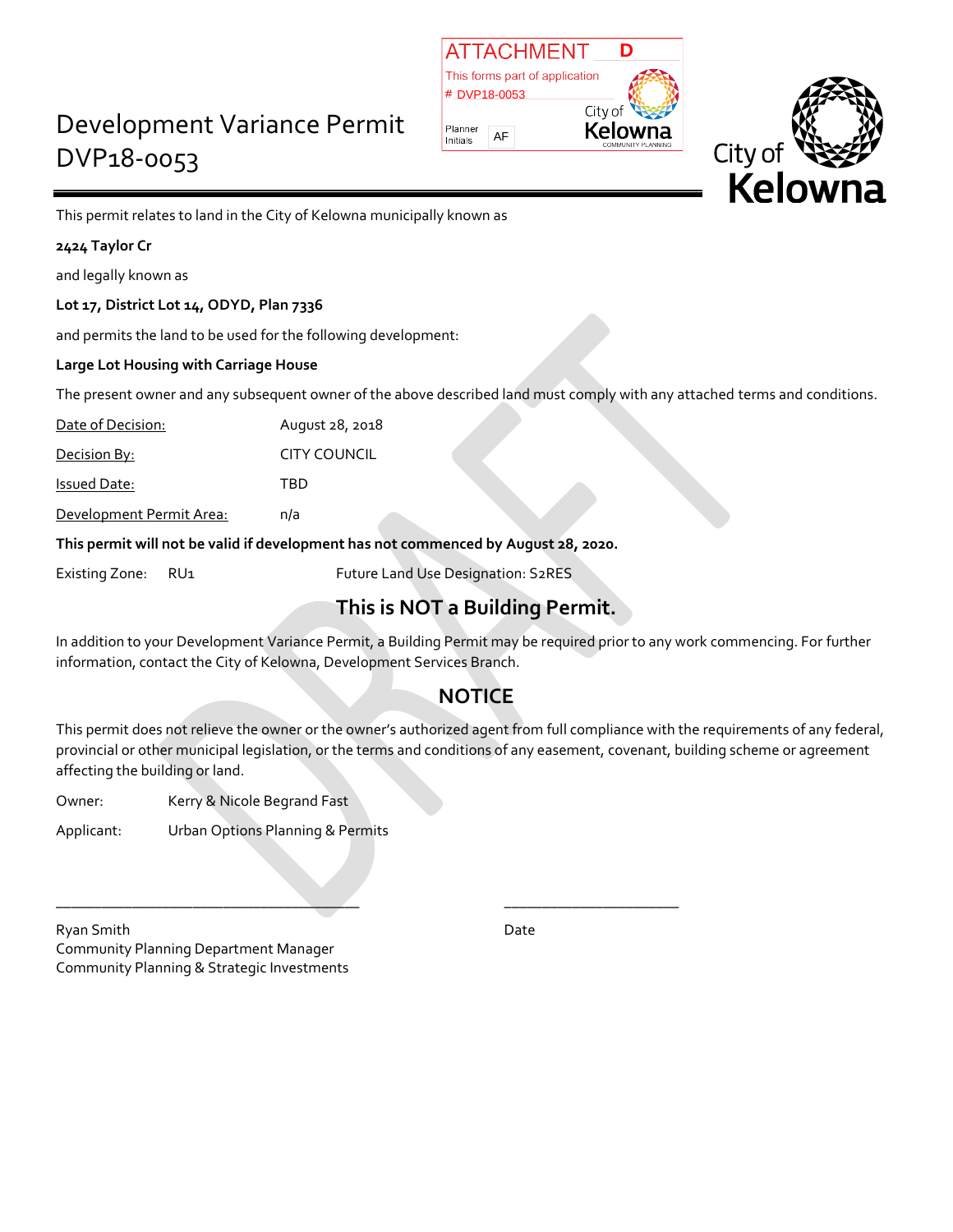## Development Variance Permit DVP18-0053





This permit relates to land in the City of Kelowna municipally known as

## **2424 Taylor Cr**

and legally known as

## **Lot 17, District Lot 14, ODYD, Plan 7336**

and permits the land to be used for the following development:

### **Large Lot Housing with Carriage House**

The present owner and any subsequent owner of the above described land must comply with any attached terms and conditions.

Date of Decision: August 28, 2018

Decision By: CITY COUNCIL

Issued Date: TBD

Development Permit Area: n/a

**This permit will not be valid if development has not commenced by August 28, 2020.**

\_\_\_\_\_\_\_\_\_\_\_\_\_\_\_\_\_\_\_\_\_\_\_\_\_\_\_\_\_\_\_\_\_\_\_\_\_\_\_\_ \_\_\_\_\_\_\_\_\_\_\_\_\_\_\_\_\_\_\_\_\_\_\_

Existing Zone: RU1 Future Land Use Designation: S2RES

## **This is NOT a Building Permit.**

In addition to your Development Variance Permit, a Building Permit may be required prior to any work commencing. For further information, contact the City of Kelowna, Development Services Branch.

## **NOTICE**

This permit does not relieve the owner or the owner's authorized agent from full compliance with the requirements of any federal, provincial or other municipal legislation, or the terms and conditions of any easement, covenant, building scheme or agreement affecting the building or land.

Owner: Kerry & Nicole Begrand Fast

Applicant: Urban Options Planning & Permits

Ryan Smith Date **Date** Community Planning Department Manager Community Planning & Strategic Investments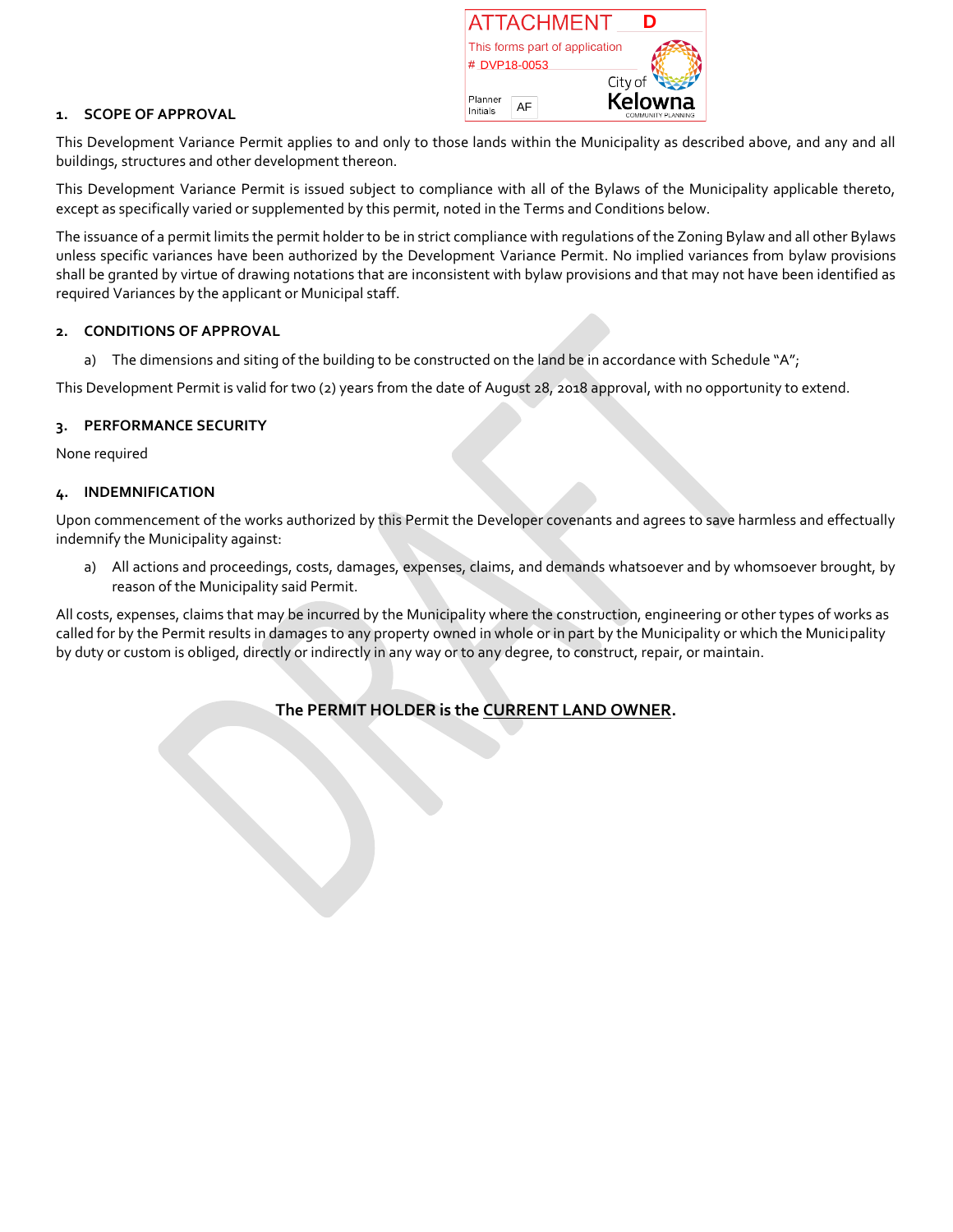| <b>IATTACHMENT</b>             | n                                    |  |  |
|--------------------------------|--------------------------------------|--|--|
| This forms part of application |                                      |  |  |
| # DVP18-0053                   |                                      |  |  |
|                                | City of                              |  |  |
| Planner<br>Initials            | <b>Kelowna</b><br>COMMUNITY PLANNING |  |  |

#### **1. SCOPE OF APPROVAL**

This Development Variance Permit applies to and only to those lands within the Municipality as described above, and any and all buildings, structures and other development thereon.

This Development Variance Permit is issued subject to compliance with all of the Bylaws of the Municipality applicable thereto, except as specifically varied or supplemented by this permit, noted in the Terms and Conditions below.

The issuance of a permit limits the permit holder to be in strict compliance with regulations of the Zoning Bylaw and all other Bylaws unless specific variances have been authorized by the Development Variance Permit. No implied variances from bylaw provisions shall be granted by virtue of drawing notations that are inconsistent with bylaw provisions and that may not have been identified as required Variances by the applicant or Municipal staff.

#### **2. CONDITIONS OF APPROVAL**

a) The dimensions and siting of the building to be constructed on the land be in accordance with Schedule "A";

This Development Permit is valid for two (2) years from the date of August 28, 2018 approval, with no opportunity to extend.

#### **3. PERFORMANCE SECURITY**

None required

#### **4. INDEMNIFICATION**

Upon commencement of the works authorized by this Permit the Developer covenants and agrees to save harmless and effectually indemnify the Municipality against:

a) All actions and proceedings, costs, damages, expenses, claims, and demands whatsoever and by whomsoever brought, by reason of the Municipality said Permit.

All costs, expenses, claims that may be incurred by the Municipality where the construction, engineering or other types of works as called for by the Permit results in damages to any property owned in whole or in part by the Municipality or which the Municipality by duty or custom is obliged, directly or indirectly in any way or to any degree, to construct, repair, or maintain.

## **The PERMIT HOLDER is the CURRENT LAND OWNER.**